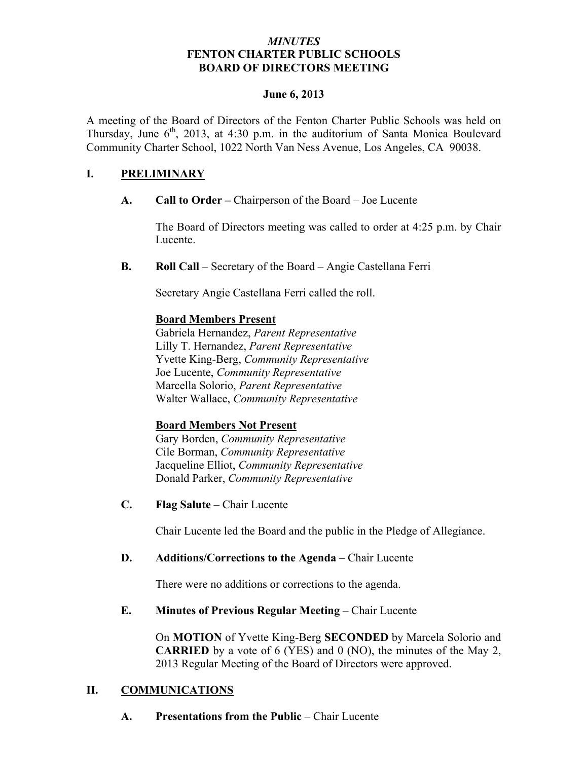### *MINUTES* **FENTON CHARTER PUBLIC SCHOOLS BOARD OF DIRECTORS MEETING**

#### **June 6, 2013**

A meeting of the Board of Directors of the Fenton Charter Public Schools was held on Thursday, June  $6<sup>th</sup>$ , 2013, at 4:30 p.m. in the auditorium of Santa Monica Boulevard Community Charter School, 1022 North Van Ness Avenue, Los Angeles, CA 90038.

### **I. PRELIMINARY**

**A. Call to Order –** Chairperson of the Board – Joe Lucente

The Board of Directors meeting was called to order at 4:25 p.m. by Chair Lucente.

**B. Roll Call** – Secretary of the Board – Angie Castellana Ferri

Secretary Angie Castellana Ferri called the roll.

### **Board Members Present**

Gabriela Hernandez, *Parent Representative* Lilly T. Hernandez, *Parent Representative* Yvette King-Berg, *Community Representative* Joe Lucente, *Community Representative* Marcella Solorio, *Parent Representative* Walter Wallace, *Community Representative*

### **Board Members Not Present**

Gary Borden, *Community Representative* Cile Borman, *Community Representative* Jacqueline Elliot, *Community Representative* Donald Parker, *Community Representative*

**C. Flag Salute** – Chair Lucente

Chair Lucente led the Board and the public in the Pledge of Allegiance.

#### **D. Additions/Corrections to the Agenda** – Chair Lucente

There were no additions or corrections to the agenda.

**E. Minutes of Previous Regular Meeting – Chair Lucente** 

On **MOTION** of Yvette King-Berg **SECONDED** by Marcela Solorio and **CARRIED** by a vote of 6 (YES) and 0 (NO), the minutes of the May 2, 2013 Regular Meeting of the Board of Directors were approved.

### **II. COMMUNICATIONS**

**A. Presentations from the Public** – Chair Lucente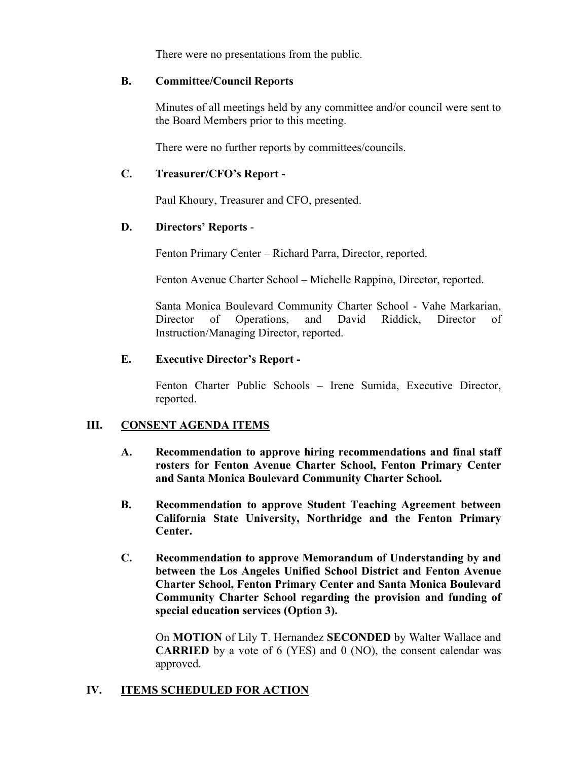There were no presentations from the public.

### **B. Committee/Council Reports**

Minutes of all meetings held by any committee and/or council were sent to the Board Members prior to this meeting.

There were no further reports by committees/councils.

### **C. Treasurer/CFO's Report -**

Paul Khoury, Treasurer and CFO, presented.

### **D. Directors' Reports** -

Fenton Primary Center – Richard Parra, Director, reported.

Fenton Avenue Charter School – Michelle Rappino, Director, reported.

Santa Monica Boulevard Community Charter School - Vahe Markarian, Director of Operations, and David Riddick, Director of Instruction/Managing Director, reported.

### **E. Executive Director's Report -**

Fenton Charter Public Schools – Irene Sumida, Executive Director, reported.

### **III. CONSENT AGENDA ITEMS**

- **A. Recommendation to approve hiring recommendations and final staff rosters for Fenton Avenue Charter School, Fenton Primary Center and Santa Monica Boulevard Community Charter School.**
- **B. Recommendation to approve Student Teaching Agreement between California State University, Northridge and the Fenton Primary Center.**
- **C. Recommendation to approve Memorandum of Understanding by and between the Los Angeles Unified School District and Fenton Avenue Charter School, Fenton Primary Center and Santa Monica Boulevard Community Charter School regarding the provision and funding of special education services (Option 3).**

On **MOTION** of Lily T. Hernandez **SECONDED** by Walter Wallace and **CARRIED** by a vote of 6 (YES) and 0 (NO), the consent calendar was approved.

### **IV. ITEMS SCHEDULED FOR ACTION**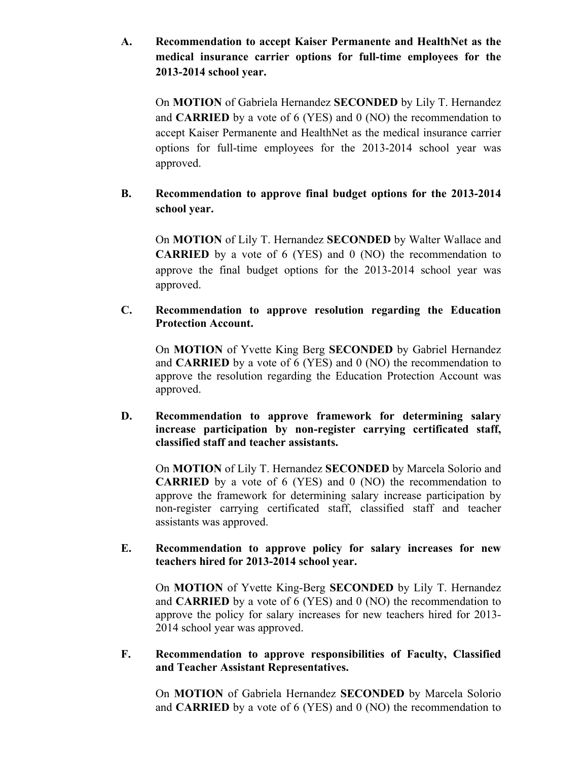## **A. Recommendation to accept Kaiser Permanente and HealthNet as the medical insurance carrier options for full-time employees for the 2013-2014 school year.**

On **MOTION** of Gabriela Hernandez **SECONDED** by Lily T. Hernandez and **CARRIED** by a vote of 6 (YES) and 0 (NO) the recommendation to accept Kaiser Permanente and HealthNet as the medical insurance carrier options for full-time employees for the 2013-2014 school year was approved.

## **B. Recommendation to approve final budget options for the 2013-2014 school year.**

On **MOTION** of Lily T. Hernandez **SECONDED** by Walter Wallace and **CARRIED** by a vote of 6 (YES) and 0 (NO) the recommendation to approve the final budget options for the 2013-2014 school year was approved.

### **C. Recommendation to approve resolution regarding the Education Protection Account.**

On **MOTION** of Yvette King Berg **SECONDED** by Gabriel Hernandez and **CARRIED** by a vote of 6 (YES) and 0 (NO) the recommendation to approve the resolution regarding the Education Protection Account was approved.

### **D. Recommendation to approve framework for determining salary increase participation by non-register carrying certificated staff, classified staff and teacher assistants.**

On **MOTION** of Lily T. Hernandez **SECONDED** by Marcela Solorio and **CARRIED** by a vote of 6 (YES) and 0 (NO) the recommendation to approve the framework for determining salary increase participation by non-register carrying certificated staff, classified staff and teacher assistants was approved.

### **E. Recommendation to approve policy for salary increases for new teachers hired for 2013-2014 school year.**

On **MOTION** of Yvette King-Berg **SECONDED** by Lily T. Hernandez and **CARRIED** by a vote of 6 (YES) and 0 (NO) the recommendation to approve the policy for salary increases for new teachers hired for 2013- 2014 school year was approved.

### **F. Recommendation to approve responsibilities of Faculty, Classified and Teacher Assistant Representatives.**

On **MOTION** of Gabriela Hernandez **SECONDED** by Marcela Solorio and **CARRIED** by a vote of 6 (YES) and 0 (NO) the recommendation to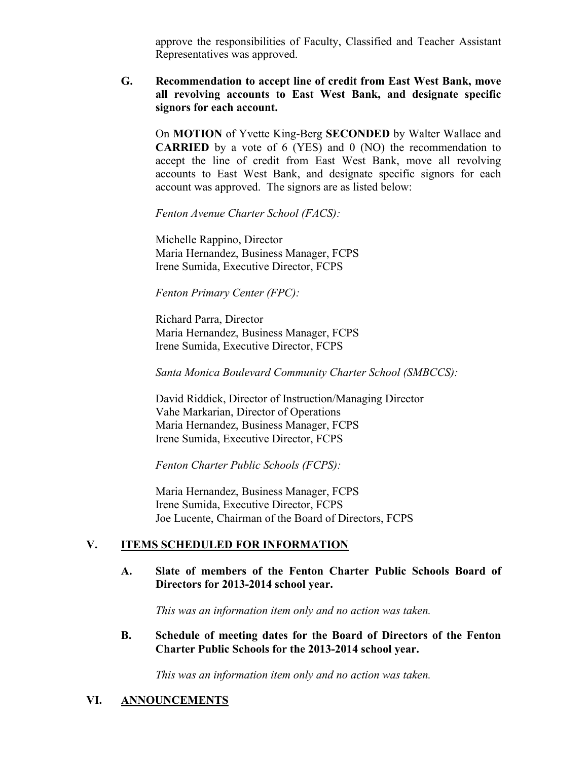approve the responsibilities of Faculty, Classified and Teacher Assistant Representatives was approved.

**G. Recommendation to accept line of credit from East West Bank, move all revolving accounts to East West Bank, and designate specific signors for each account.**

On **MOTION** of Yvette King-Berg **SECONDED** by Walter Wallace and **CARRIED** by a vote of 6 (YES) and 0 (NO) the recommendation to accept the line of credit from East West Bank, move all revolving accounts to East West Bank, and designate specific signors for each account was approved. The signors are as listed below:

*Fenton Avenue Charter School (FACS):*

Michelle Rappino, Director Maria Hernandez, Business Manager, FCPS Irene Sumida, Executive Director, FCPS

### *Fenton Primary Center (FPC):*

Richard Parra, Director Maria Hernandez, Business Manager, FCPS Irene Sumida, Executive Director, FCPS

*Santa Monica Boulevard Community Charter School (SMBCCS):*

David Riddick, Director of Instruction/Managing Director Vahe Markarian, Director of Operations Maria Hernandez, Business Manager, FCPS Irene Sumida, Executive Director, FCPS

*Fenton Charter Public Schools (FCPS):*

Maria Hernandez, Business Manager, FCPS Irene Sumida, Executive Director, FCPS Joe Lucente, Chairman of the Board of Directors, FCPS

### **V. ITEMS SCHEDULED FOR INFORMATION**

### **A. Slate of members of the Fenton Charter Public Schools Board of Directors for 2013-2014 school year.**

*This was an information item only and no action was taken.*

**B. Schedule of meeting dates for the Board of Directors of the Fenton Charter Public Schools for the 2013-2014 school year.**

*This was an information item only and no action was taken.*

### **VI. ANNOUNCEMENTS**